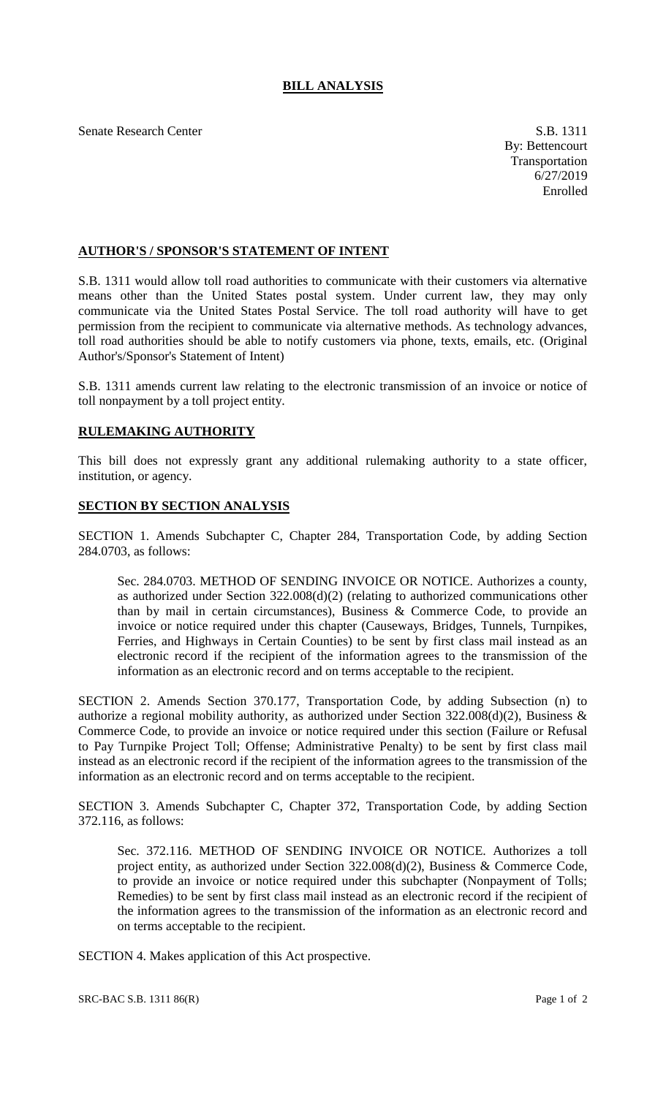Senate Research Center S.B. 1311

## **AUTHOR'S / SPONSOR'S STATEMENT OF INTENT**

S.B. 1311 would allow toll road authorities to communicate with their customers via alternative means other than the United States postal system. Under current law, they may only communicate via the United States Postal Service. The toll road authority will have to get permission from the recipient to communicate via alternative methods. As technology advances, toll road authorities should be able to notify customers via phone, texts, emails, etc. (Original Author's/Sponsor's Statement of Intent)

S.B. 1311 amends current law relating to the electronic transmission of an invoice or notice of toll nonpayment by a toll project entity.

## **RULEMAKING AUTHORITY**

This bill does not expressly grant any additional rulemaking authority to a state officer, institution, or agency.

## **SECTION BY SECTION ANALYSIS**

SECTION 1. Amends Subchapter C, Chapter 284, Transportation Code, by adding Section 284.0703, as follows:

Sec. 284.0703. METHOD OF SENDING INVOICE OR NOTICE. Authorizes a county, as authorized under Section 322.008(d)(2) (relating to authorized communications other than by mail in certain circumstances), Business & Commerce Code, to provide an invoice or notice required under this chapter (Causeways, Bridges, Tunnels, Turnpikes, Ferries, and Highways in Certain Counties) to be sent by first class mail instead as an electronic record if the recipient of the information agrees to the transmission of the information as an electronic record and on terms acceptable to the recipient.

SECTION 2. Amends Section 370.177, Transportation Code, by adding Subsection (n) to authorize a regional mobility authority, as authorized under Section 322.008(d)(2), Business & Commerce Code, to provide an invoice or notice required under this section (Failure or Refusal to Pay Turnpike Project Toll; Offense; Administrative Penalty) to be sent by first class mail instead as an electronic record if the recipient of the information agrees to the transmission of the information as an electronic record and on terms acceptable to the recipient.

SECTION 3. Amends Subchapter C, Chapter 372, Transportation Code, by adding Section 372.116, as follows:

Sec. 372.116. METHOD OF SENDING INVOICE OR NOTICE. Authorizes a toll project entity, as authorized under Section 322.008(d)(2), Business & Commerce Code, to provide an invoice or notice required under this subchapter (Nonpayment of Tolls; Remedies) to be sent by first class mail instead as an electronic record if the recipient of the information agrees to the transmission of the information as an electronic record and on terms acceptable to the recipient.

SECTION 4. Makes application of this Act prospective.